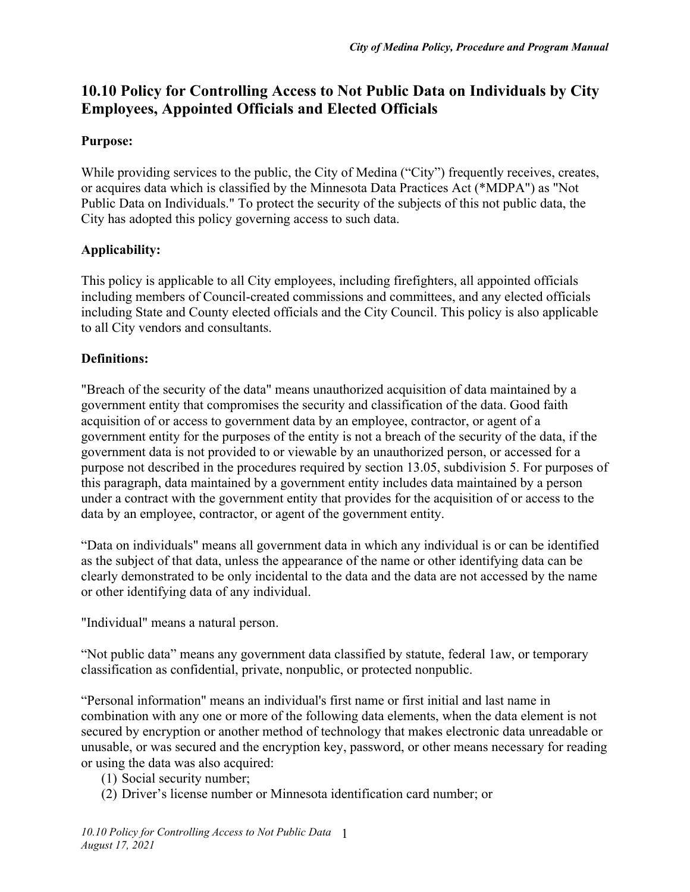# **10.10 Policy for Controlling Access to Not Public Data on Individuals by City Employees, Appointed Officials and Elected Officials**

#### **Purpose:**

While providing services to the public, the City of Medina ("City") frequently receives, creates, or acquires data which is classified by the Minnesota Data Practices Act (\*MDPA") as "Not Public Data on Individuals." To protect the security of the subjects of this not public data, the City has adopted this policy governing access to such data.

#### **Applicability:**

This policy is applicable to all City employees, including firefighters, all appointed officials including members of Council-created commissions and committees, and any elected officials including State and County elected officials and the City Council. This policy is also applicable to all City vendors and consultants.

#### **Definitions:**

"Breach of the security of the data" means unauthorized acquisition of data maintained by a government entity that compromises the security and classification of the data. Good faith acquisition of or access to government data by an employee, contractor, or agent of a government entity for the purposes of the entity is not a breach of the security of the data, if the government data is not provided to or viewable by an unauthorized person, or accessed for a purpose not described in the procedures required by section 13.05, subdivision 5. For purposes of this paragraph, data maintained by a government entity includes data maintained by a person under a contract with the government entity that provides for the acquisition of or access to the data by an employee, contractor, or agent of the government entity.

"Data on individuals" means all government data in which any individual is or can be identified as the subject of that data, unless the appearance of the name or other identifying data can be clearly demonstrated to be only incidental to the data and the data are not accessed by the name or other identifying data of any individual.

"Individual" means a natural person.

"Not public data" means any government data classified by statute, federal 1aw, or temporary classification as confidential, private, nonpublic, or protected nonpublic.

"Personal information" means an individual's first name or first initial and last name in combination with any one or more of the following data elements, when the data element is not secured by encryption or another method of technology that makes electronic data unreadable or unusable, or was secured and the encryption key, password, or other means necessary for reading or using the data was also acquired:

- (1) Social security number;
- (2) Driver's license number or Minnesota identification card number; or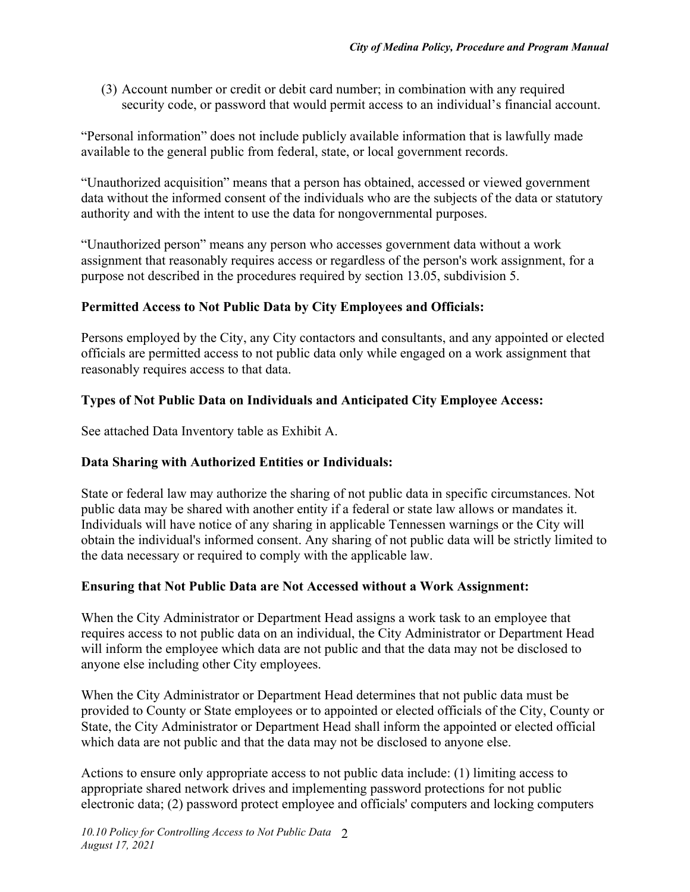(3) Account number or credit or debit card number; in combination with any required security code, or password that would permit access to an individual's financial account.

"Personal information" does not include publicly available information that is lawfully made available to the general public from federal, state, or local government records.

"Unauthorized acquisition" means that a person has obtained, accessed or viewed government data without the informed consent of the individuals who are the subjects of the data or statutory authority and with the intent to use the data for nongovernmental purposes.

"Unauthorized person" means any person who accesses government data without a work assignment that reasonably requires access or regardless of the person's work assignment, for a purpose not described in the procedures required by section 13.05, subdivision 5.

# **Permitted Access to Not Public Data by City Employees and Officials:**

Persons employed by the City, any City contactors and consultants, and any appointed or elected officials are permitted access to not public data only while engaged on a work assignment that reasonably requires access to that data.

# **Types of Not Public Data on Individuals and Anticipated City Employee Access:**

See attached Data Inventory table as Exhibit A.

## **Data Sharing with Authorized Entities or Individuals:**

State or federal law may authorize the sharing of not public data in specific circumstances. Not public data may be shared with another entity if a federal or state law allows or mandates it. Individuals will have notice of any sharing in applicable Tennessen warnings or the City will obtain the individual's informed consent. Any sharing of not public data will be strictly limited to the data necessary or required to comply with the applicable law.

## **Ensuring that Not Public Data are Not Accessed without a Work Assignment:**

When the City Administrator or Department Head assigns a work task to an employee that requires access to not public data on an individual, the City Administrator or Department Head will inform the employee which data are not public and that the data may not be disclosed to anyone else including other City employees.

When the City Administrator or Department Head determines that not public data must be provided to County or State employees or to appointed or elected officials of the City, County or State, the City Administrator or Department Head shall inform the appointed or elected official which data are not public and that the data may not be disclosed to anyone else.

Actions to ensure only appropriate access to not public data include: (1) limiting access to appropriate shared network drives and implementing password protections for not public electronic data; (2) password protect employee and officials' computers and locking computers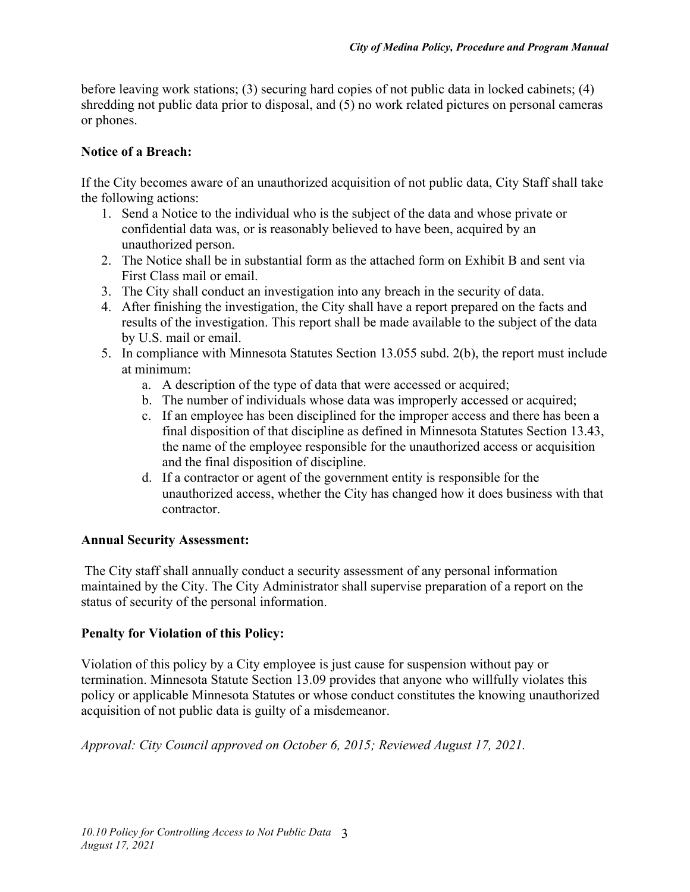before leaving work stations; (3) securing hard copies of not public data in locked cabinets; (4) shredding not public data prior to disposal, and (5) no work related pictures on personal cameras or phones.

## **Notice of a Breach:**

If the City becomes aware of an unauthorized acquisition of not public data, City Staff shall take the following actions:

- 1. Send a Notice to the individual who is the subject of the data and whose private or confidential data was, or is reasonably believed to have been, acquired by an unauthorized person.
- 2. The Notice shall be in substantial form as the attached form on Exhibit B and sent via First Class mail or email.
- 3. The City shall conduct an investigation into any breach in the security of data.
- 4. After finishing the investigation, the City shall have a report prepared on the facts and results of the investigation. This report shall be made available to the subject of the data by U.S. mail or email.
- 5. In compliance with Minnesota Statutes Section 13.055 subd. 2(b), the report must include at minimum:
	- a. A description of the type of data that were accessed or acquired;
	- b. The number of individuals whose data was improperly accessed or acquired;
	- c. If an employee has been disciplined for the improper access and there has been a final disposition of that discipline as defined in Minnesota Statutes Section 13.43, the name of the employee responsible for the unauthorized access or acquisition and the final disposition of discipline.
	- d. If a contractor or agent of the government entity is responsible for the unauthorized access, whether the City has changed how it does business with that contractor.

## **Annual Security Assessment:**

 The City staff shall annually conduct a security assessment of any personal information maintained by the City. The City Administrator shall supervise preparation of a report on the status of security of the personal information.

## **Penalty for Violation of this Policy:**

Violation of this policy by a City employee is just cause for suspension without pay or termination. Minnesota Statute Section 13.09 provides that anyone who willfully violates this policy or applicable Minnesota Statutes or whose conduct constitutes the knowing unauthorized acquisition of not public data is guilty of a misdemeanor.

*Approval: City Council approved on October 6, 2015; Reviewed August 17, 2021.*